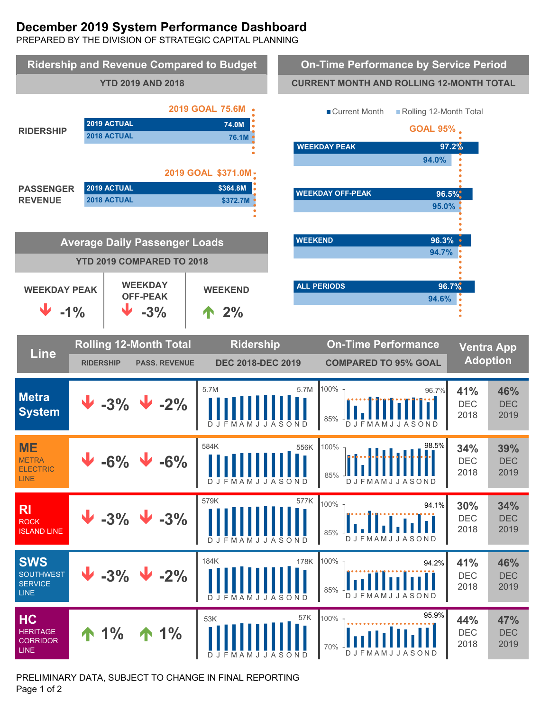# **December 2019 System Performance Dashboard**

PREPARED BY THE DIVISION OF STRATEGIC CAPITAL PLANNING



PRELIMINARY DATA, SUBJECT TO CHANGE IN FINAL REPORTING Page 1 of 2